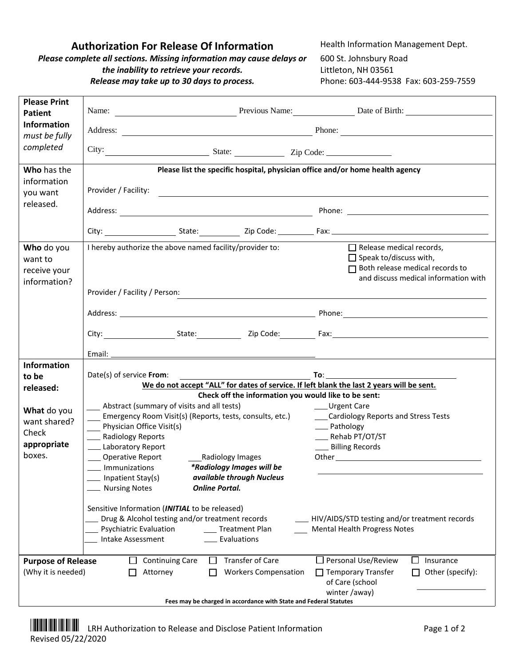## **Authorization For Release Of Information** Health Information Management Dept.

*Please complete all sections. Missing information may cause delays or the inability to retrieve your records. Release may take up to 30 days to process.* 

600 St. Johnsbury Road Littleton, NH 03561 Phone: 603-444-9538 Fax: 603-259-7559

| <b>Please Print</b><br><b>Patient</b>                                                                 | Name: <u>Name:</u> Previous Name: Date of Birth: 2008. Date of Birth:                                                                                                                                                          |                                                                                                                        |                                                                                                                                                    |  |  |
|-------------------------------------------------------------------------------------------------------|--------------------------------------------------------------------------------------------------------------------------------------------------------------------------------------------------------------------------------|------------------------------------------------------------------------------------------------------------------------|----------------------------------------------------------------------------------------------------------------------------------------------------|--|--|
| <b>Information</b>                                                                                    |                                                                                                                                                                                                                                |                                                                                                                        |                                                                                                                                                    |  |  |
| must be fully                                                                                         | Address: Phone: Phone: Phone: Phone: Phone: Phone: Phone: Phone: Phone: Phone: Phone: Phone: Phone: Phone: Phone: Phone: Phone: Phone: Phone: Phone: Phone: Phone: Phone: Phone: Phone: Phone: Phone: Phone: Phone: Phone: Pho |                                                                                                                        |                                                                                                                                                    |  |  |
| completed                                                                                             |                                                                                                                                                                                                                                |                                                                                                                        |                                                                                                                                                    |  |  |
| Who has the                                                                                           | Please list the specific hospital, physician office and/or home health agency                                                                                                                                                  |                                                                                                                        |                                                                                                                                                    |  |  |
| information<br>you want                                                                               | Provider / Facility:                                                                                                                                                                                                           | <u> 1980 - Johann John Stein, marwolaeth a bhann an t-Amhain Aonaich an t-Amhain Aonaich an t-Amhain Aonaich an t-</u> |                                                                                                                                                    |  |  |
| released.                                                                                             |                                                                                                                                                                                                                                |                                                                                                                        |                                                                                                                                                    |  |  |
|                                                                                                       |                                                                                                                                                                                                                                |                                                                                                                        |                                                                                                                                                    |  |  |
| Who do you<br>want to<br>receive your<br>information?                                                 | I hereby authorize the above named facility/provider to:<br>Provider / Facility / Person:                                                                                                                                      |                                                                                                                        | $\Box$ Release medical records,<br>$\Box$ Speak to/discuss with,<br>$\Box$ Both release medical records to<br>and discuss medical information with |  |  |
|                                                                                                       |                                                                                                                                                                                                                                |                                                                                                                        |                                                                                                                                                    |  |  |
|                                                                                                       |                                                                                                                                                                                                                                |                                                                                                                        |                                                                                                                                                    |  |  |
|                                                                                                       |                                                                                                                                                                                                                                |                                                                                                                        |                                                                                                                                                    |  |  |
|                                                                                                       |                                                                                                                                                                                                                                |                                                                                                                        |                                                                                                                                                    |  |  |
| <b>Information</b><br>to be                                                                           | Date(s) of service From:                                                                                                                                                                                                       |                                                                                                                        |                                                                                                                                                    |  |  |
| released:                                                                                             | We do not accept "ALL" for dates of service. If left blank the last 2 years will be sent.                                                                                                                                      |                                                                                                                        |                                                                                                                                                    |  |  |
|                                                                                                       | Abstract (summary of visits and all tests)                                                                                                                                                                                     | Check off the information you would like to be sent:<br>____ Urgent Care                                               |                                                                                                                                                    |  |  |
| What do you<br>want shared?                                                                           | Emergency Room Visit(s) (Reports, tests, consults, etc.)                                                                                                                                                                       |                                                                                                                        | ___Cardiology Reports and Stress Tests                                                                                                             |  |  |
| Check                                                                                                 | Physician Office Visit(s)<br>__ Pathology<br>___ Rehab PT/OT/ST                                                                                                                                                                |                                                                                                                        |                                                                                                                                                    |  |  |
| appropriate                                                                                           | __ Radiology Reports<br>Laboratory Report                                                                                                                                                                                      | __ Billing Records                                                                                                     |                                                                                                                                                    |  |  |
| boxes.                                                                                                | ___ Operative Report<br>Radiology Images                                                                                                                                                                                       |                                                                                                                        |                                                                                                                                                    |  |  |
|                                                                                                       | ____ Immunizations<br>*Radiology Images will be<br>available through Nucleus                                                                                                                                                   |                                                                                                                        |                                                                                                                                                    |  |  |
|                                                                                                       | Inpatient Stay(s)<br><b>Online Portal.</b><br><b>Nursing Notes</b>                                                                                                                                                             |                                                                                                                        |                                                                                                                                                    |  |  |
|                                                                                                       | Sensitive Information (INITIAL to be released)<br>Drug & Alcohol testing and/or treatment records<br>Psychiatric Evaluation<br>___ Treatment Plan<br>Evaluations<br>Intake Assessment                                          |                                                                                                                        | _HIV/AIDS/STD testing and/or treatment records<br><b>Mental Health Progress Notes</b>                                                              |  |  |
| <b>Transfer of Care</b><br><b>Continuing Care</b><br><b>Purpose of Release</b><br>$\mathsf{L}$<br>l 1 |                                                                                                                                                                                                                                |                                                                                                                        | $\square$ Personal Use/Review<br>ப<br>Insurance                                                                                                    |  |  |
| (Why it is needed)                                                                                    | Attorney                                                                                                                                                                                                                       | <b>Workers Compensation</b><br>of Care (school<br>winter /away)                                                        | Other (specify):<br>$\Box$ Temporary Transfer                                                                                                      |  |  |
|                                                                                                       |                                                                                                                                                                                                                                | Fees may be charged in accordance with State and Federal Statutes                                                      |                                                                                                                                                    |  |  |